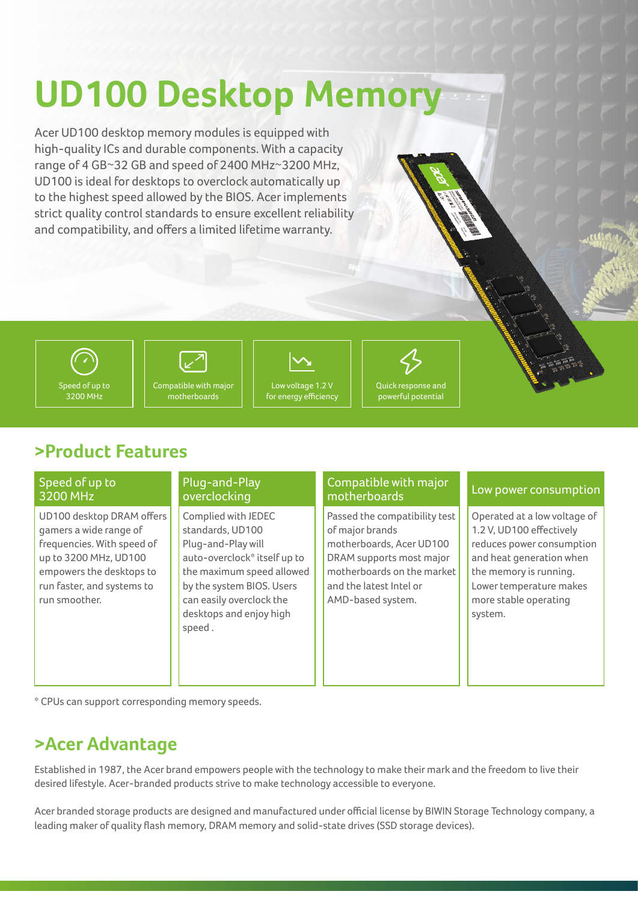# **UD100 Desktop Memory**

Acer UD100 desktop memory modules is equipped with high-quality ICs and durable components. With a capacity range of 4 GB~32 GB and speed of 2400 MHz~3200 MHz, UD100 is ideal for desktops to overclock automatically up to the highest speed allowed by the BIOS. Acer implements strict quality control standards to ensure excellent reliability and compatibility, and offers a limited lifetime warranty.





motherboards

Low voltage 1.2 V for energy efficiency



## **>Product Features**

#### Speed of up to 3200 MHz

UD100 desktop DRAM offers gamers a wide range of frequencies. With speed of up to 3200 MHz, UD100 empowers the desktops to run faster, and systems to run smoother.

#### Plug-and-Play overclocking

Complied with JEDEC standards, UD100 Plug-and-Play will auto-overclock\* itself up to the maximum speed allowed by the system BIOS. Users can easily overclock the desktops and enjoy high speed .

#### Compatible with major motherboards

Passed the compatibility test of major brands motherboards, Acer UD100 DRAM supports most major motherboards on the market and the latest Intel or AMD-based system.

#### Low power consumption

Operated at a low voltage of 1.2 V, UD100 effectively reduces power consumption and heat generation when the memory is running. Lower temperature makes more stable operating system.

\* CPUs can support corresponding memory speeds.

### **>Acer Advantage**

Established in 1987, the Acer brand empowers people with the technology to make their mark and the freedom to live their desired lifestyle. Acer-branded products strive to make technology accessible to everyone.

Acer branded storage products are designed and manufactured under official license by BIWIN Storage Technology company, a leading maker of quality flash memory, DRAM memory and solid-state drives (SSD storage devices).